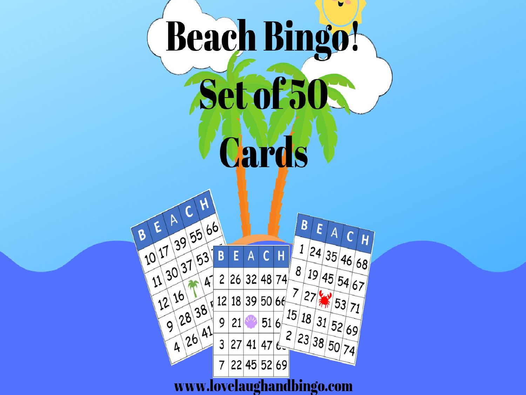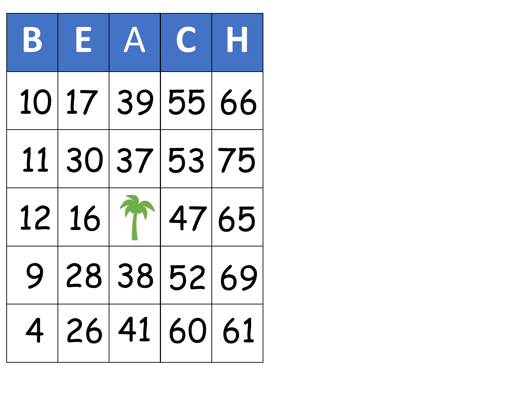| BEACH            |  |  |
|------------------|--|--|
| 10 17 39 55 66   |  |  |
| 11 30 37 53 75   |  |  |
| $12 16 $ 1 47 65 |  |  |
| 9 28 38 52 69    |  |  |
| 4 26 41 60 61    |  |  |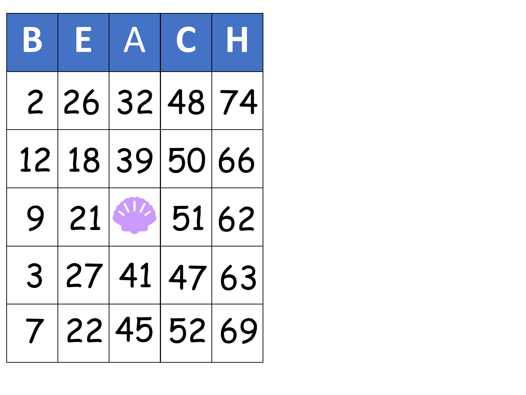| $\mathbf{B}$ | EACH           |  |  |
|--------------|----------------|--|--|
|              | 2 26 32 48 74  |  |  |
|              | 12 18 39 50 66 |  |  |
|              | $9 21 $ 51 62  |  |  |
|              | 3 27 41 47 63  |  |  |
|              | 7 22 45 52 69  |  |  |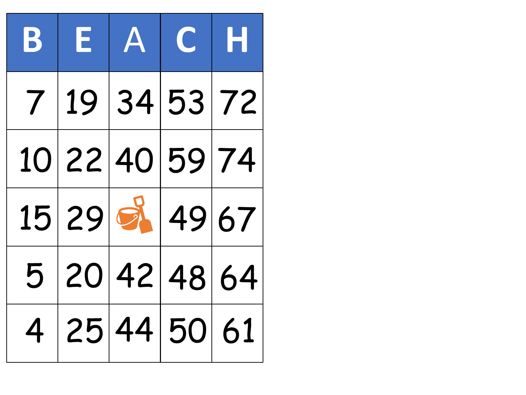|  | BEACH          |  |
|--|----------------|--|
|  | 7 19 34 53 72  |  |
|  | 10 22 40 59 74 |  |
|  | 15 29 8 49 67  |  |
|  | 5 20 42 48 64  |  |
|  | 4 25 44 50 61  |  |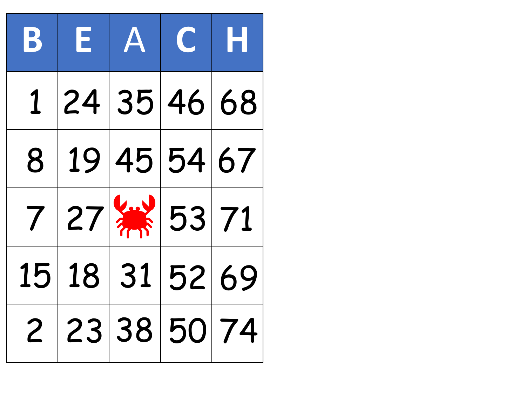| $ \mathbf{B} $ | EACH                           |  |  |
|----------------|--------------------------------|--|--|
| $1 \quad$      | 24 35 46 68                    |  |  |
|                | 8 19 45 54 67                  |  |  |
|                | $7 27 $ $\frac{11}{111} 53 71$ |  |  |
|                | 15 18 31 52 69                 |  |  |
|                | 2 23 38 50 74                  |  |  |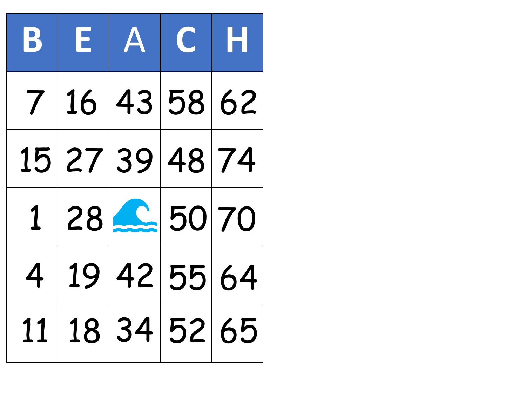|  | BEACH          |  |
|--|----------------|--|
|  | 7 16 43 58 62  |  |
|  | 15 27 39 48 74 |  |
|  | 1 28 2 50 70   |  |
|  | 4 19 42 55 64  |  |
|  | 11 18 34 52 65 |  |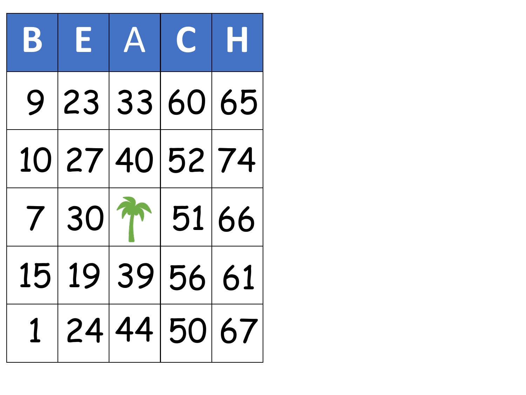| BEACH                 |  |  |
|-----------------------|--|--|
| 9 23 33 60 65         |  |  |
| 10 27 40 52 74        |  |  |
| $7 30 $ m $ 51 66$    |  |  |
| 15 19 39 56 61        |  |  |
| 1   24   44   50   67 |  |  |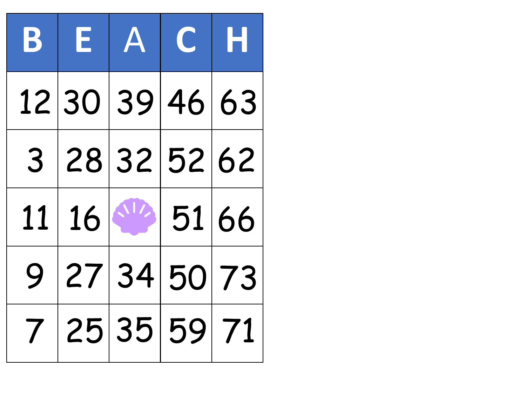| BEACH             |  |  |
|-------------------|--|--|
| 12 30 39 46 63    |  |  |
| 3 28 32 52 62     |  |  |
| $11   16  $ 51 66 |  |  |
| 9 27 34 50 73     |  |  |
| 7 25 35 59 71     |  |  |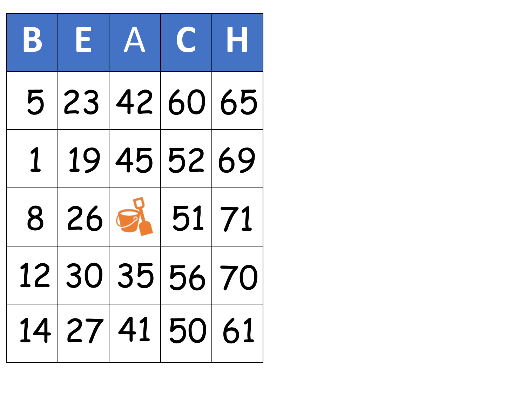| BEACH          |  |  |
|----------------|--|--|
| 5 23 42 60 65  |  |  |
| 1 19 45 52 69  |  |  |
| 8 26 3 51 71   |  |  |
| 12 30 35 56 70 |  |  |
| 14 27 41 50 61 |  |  |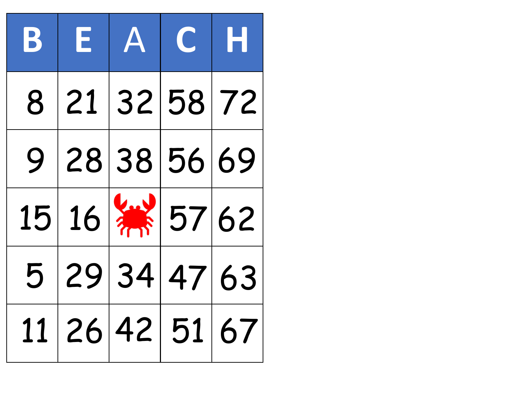| $\mathbf{B}^-$ | EACH                           |  |  |
|----------------|--------------------------------|--|--|
|                | 8 21 32 58 72                  |  |  |
|                | 9 28 38 56 69                  |  |  |
|                | $15 16 $ $\frac{11}{10}$ 57 62 |  |  |
|                | 5 29 34 47 63                  |  |  |
|                | 11 26 42 51 67                 |  |  |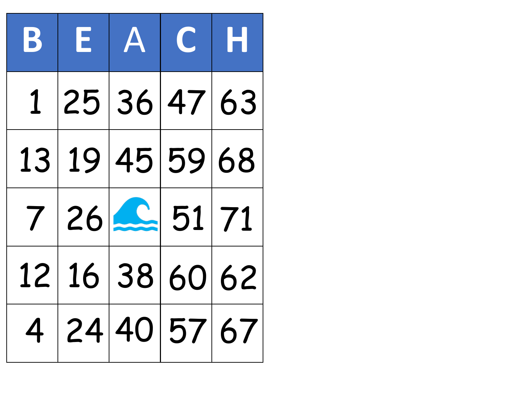| $\mathbf{B}$ | E A C H        |  |
|--------------|----------------|--|
|              | 1 25 36 47 63  |  |
|              | 13 19 45 59 68 |  |
|              | 7 26 2 51 71   |  |
|              | 12 16 38 60 62 |  |
|              | 4 24 40 57 67  |  |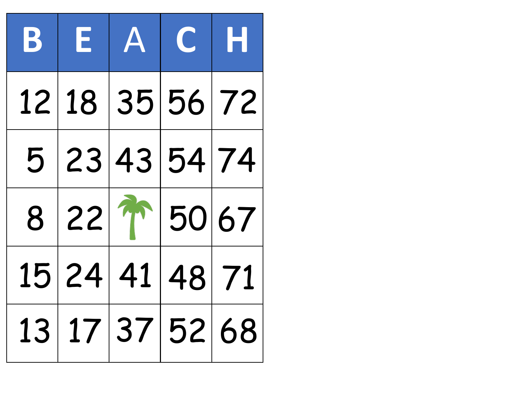|  | BEACH                  |  |
|--|------------------------|--|
|  | 12 18 35 56 72         |  |
|  | 5 23 43 54 74          |  |
|  | $8 22 \text{ m} 50 67$ |  |
|  | 15 24 41 48 71         |  |
|  | 13 17 37 52 68         |  |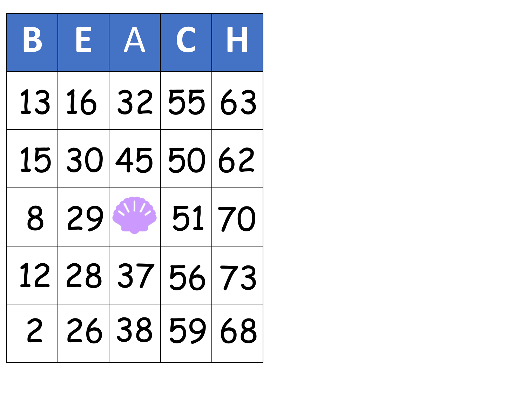|  | BEACH          |  |
|--|----------------|--|
|  | 13 16 32 55 63 |  |
|  | 15 30 45 50 62 |  |
|  | 8 29 51 70     |  |
|  | 12 28 37 56 73 |  |
|  | 2 26 38 59 68  |  |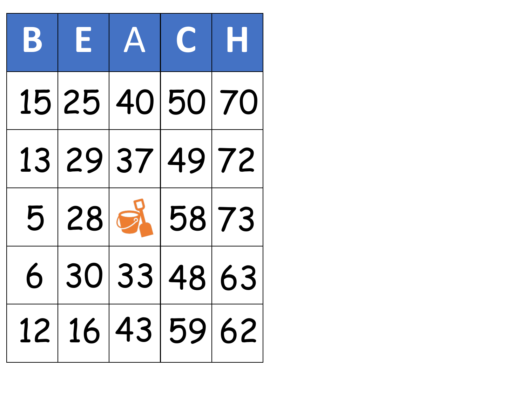| BEACH          |  |                |
|----------------|--|----------------|
| 15 25 40 50 70 |  |                |
| 13 29 37 49 72 |  |                |
| 5 28 3 58 73   |  |                |
| 6 30 33 48 63  |  |                |
|                |  | 12 16 43 59 62 |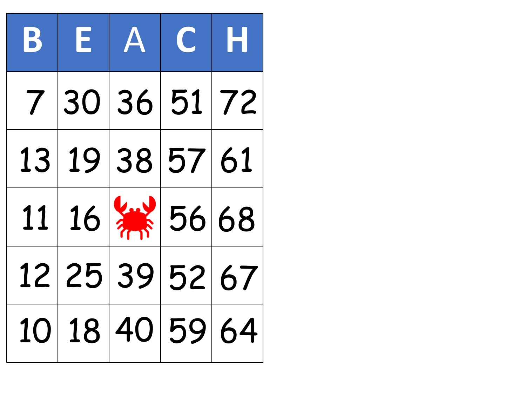| $\mathbf{B}$ | EACH                           |  |
|--------------|--------------------------------|--|
|              | 7 30 36 51 72                  |  |
|              | 13 19 38 57 61                 |  |
|              | $11 16 $ $\frac{11}{16}$ 56 68 |  |
|              | 12 25 39 52 67                 |  |
|              | 10 18 40 59 64                 |  |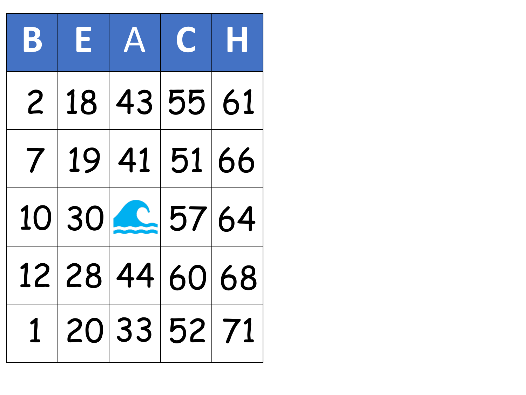|  | BEACH          |  |
|--|----------------|--|
|  | 2 18 43 55 61  |  |
|  | 7 19 41 51 66  |  |
|  | 10 30 2 57 64  |  |
|  | 12 28 44 60 68 |  |
|  | 1 20 33 52 71  |  |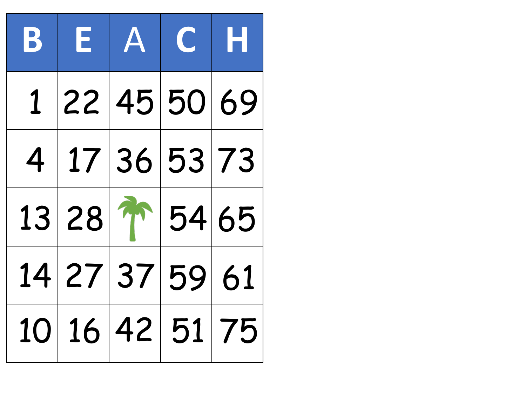| $\mathbf{B}_{\perp}$ | EACH           |  |  |
|----------------------|----------------|--|--|
|                      | 1 22 45 50 69  |  |  |
|                      | 4 17 36 53 73  |  |  |
|                      | 13 28 1 54 65  |  |  |
|                      | 14 27 37 59 61 |  |  |
|                      | 10 16 42 51 75 |  |  |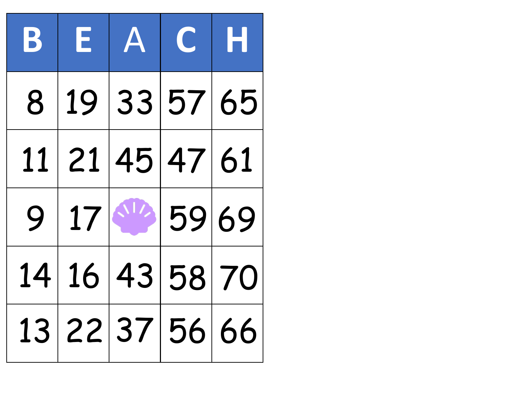| $\mathbf{B}$ | EACH           |  |
|--------------|----------------|--|
| 8            | 19 33 57 65    |  |
|              | 11 21 45 47 61 |  |
|              | $9 17 $ 59 69  |  |
|              | 14 16 43 58 70 |  |
|              | 13 22 37 56 66 |  |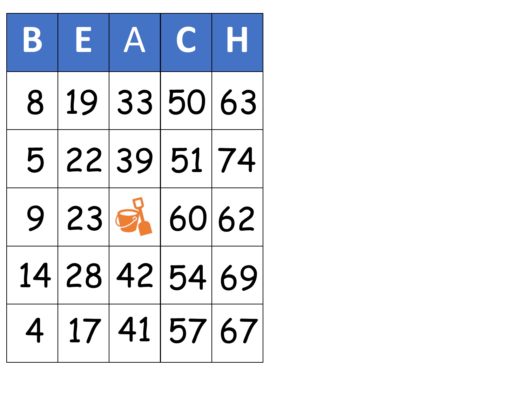|   | BEACH          |             |  |
|---|----------------|-------------|--|
| 8 |                | 19 33 50 63 |  |
|   | 5 22 39 51 74  |             |  |
|   | 9 23 3 60 62   |             |  |
|   | 14 28 42 54 69 |             |  |
|   | 4 17 41 57 67  |             |  |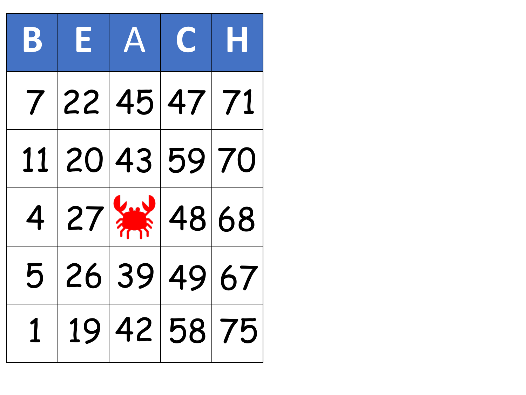| $\mathbf{B}$ | EACH                           |  |  |
|--------------|--------------------------------|--|--|
|              | 7 22 45 47 71                  |  |  |
|              | 11 20 43 59 70                 |  |  |
|              | $4 27 $ $\frac{11}{111} 48 68$ |  |  |
|              | 5 26 39 49 67                  |  |  |
|              | 19 42 58 75                    |  |  |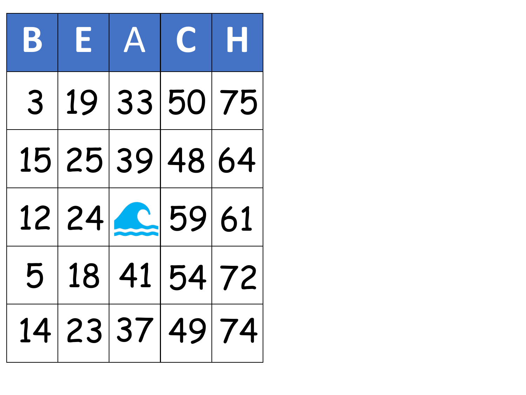| $\mathbf{B}$ | EACH                  |  |
|--------------|-----------------------|--|
|              | 3   19   33   50   75 |  |
|              | 15 25 39 48 64        |  |
|              | 12 24 2 59 61         |  |
|              | 5 18 41 54 72         |  |
|              | 14 23 37 49 74        |  |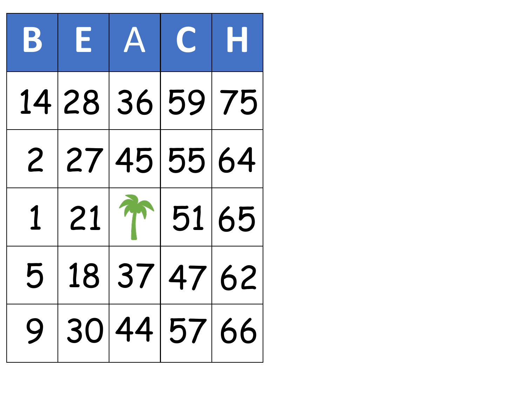|   | BEACH                                    |             |  |
|---|------------------------------------------|-------------|--|
|   | 14 28 36 59 75                           |             |  |
|   | 2 27 45 55 64                            |             |  |
|   | $1 21 \textcolor{red}{\textbf{1}} 51 65$ |             |  |
| 5 |                                          | 18 37 47 62 |  |
| 9 |                                          | 30 44 57 66 |  |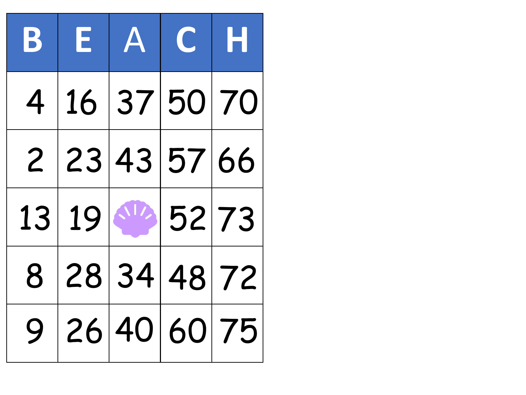|  | BEACH          |  |
|--|----------------|--|
|  | 4 16 37 50 70  |  |
|  | 2 23 43 57 66  |  |
|  | 13 19 16 52 73 |  |
|  | 8 28 34 48 72  |  |
|  | 9 26 40 60 75  |  |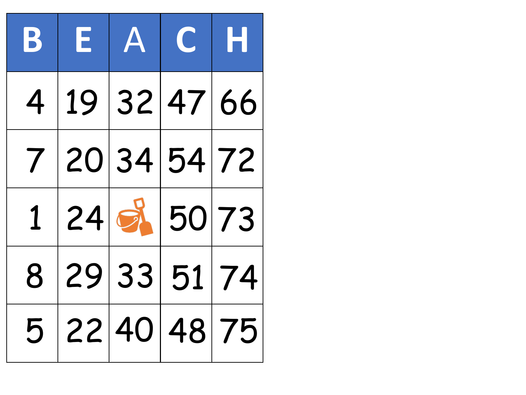| BEACH         |  |               |
|---------------|--|---------------|
| 4 19 32 47 66 |  |               |
| 7 20 34 54 72 |  |               |
|               |  | 1 24 3 50 73  |
| 8 29 33 51 74 |  |               |
|               |  | 5 22 40 48 75 |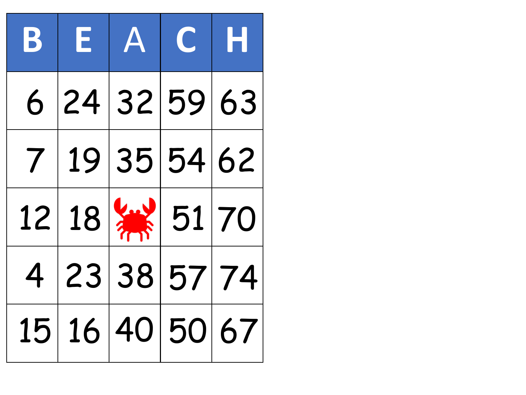|  | BEACH                         |  |
|--|-------------------------------|--|
|  | 6 24 32 59 63                 |  |
|  | 7 19 35 54 62                 |  |
|  | $12 18 $ $\frac{1}{10}$ 51 70 |  |
|  | 4 23 38 57 74                 |  |
|  | 15 16 40 50 67                |  |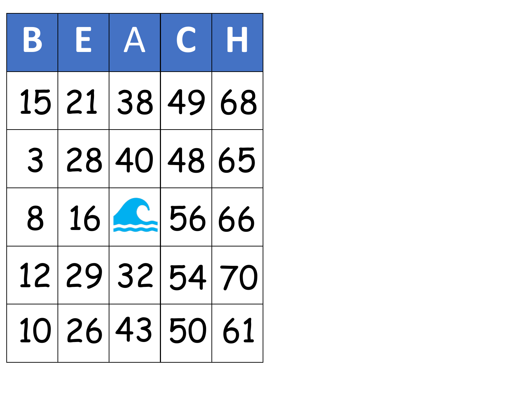|  | BEACH          |  |
|--|----------------|--|
|  | 15 21 38 49 68 |  |
|  | 3 28 40 48 65  |  |
|  | $8 16 $ 56 66  |  |
|  | 12 29 32 54 70 |  |
|  | 10 26 43 50 61 |  |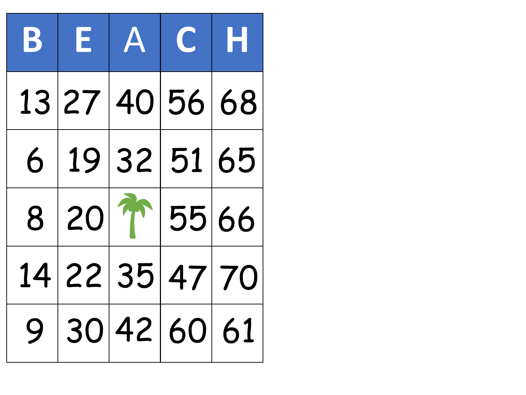| BEACH           |  |  |
|-----------------|--|--|
| 13 27 40 56 68  |  |  |
| 6 19 32 51 65   |  |  |
| $8 20 $ 1 55 66 |  |  |
| 14 22 35 47 70  |  |  |
| 9 30 42 60 61   |  |  |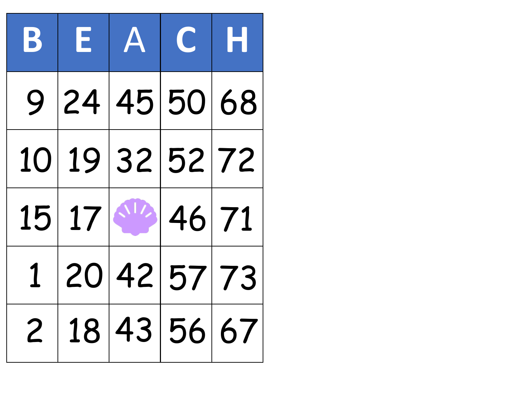|  | BEACH            |  |
|--|------------------|--|
|  | 9 24 45 50 68    |  |
|  | 10 19 32 52 72   |  |
|  | $15 17 $ $46 71$ |  |
|  | 1 20 42 57 73    |  |
|  | 2 18 43 56 67    |  |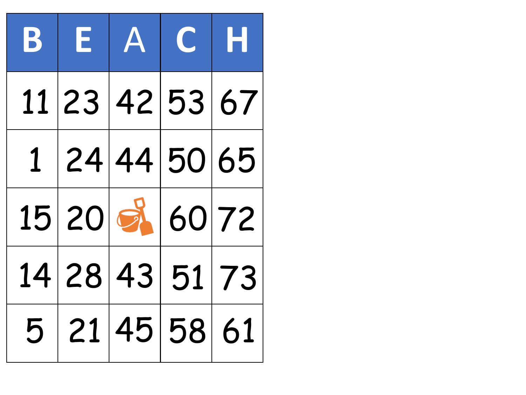|  | BEACH          |  |
|--|----------------|--|
|  | 11 23 42 53 67 |  |
|  | 1 24 44 50 65  |  |
|  | 15 20 8 60 72  |  |
|  | 14 28 43 51 73 |  |
|  | 5 21 45 58 61  |  |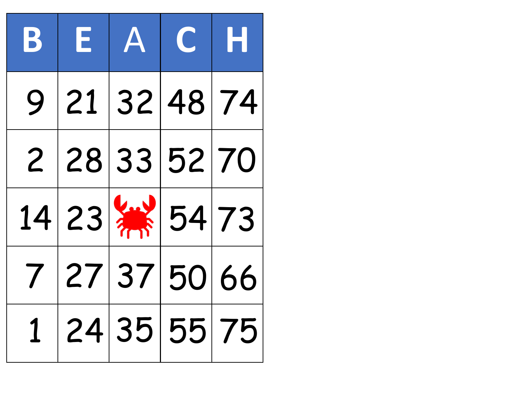| $\mathbf{B}$ | $E$ $A$ $C$ $H$                 |  |
|--------------|---------------------------------|--|
|              | 9 21 32 48 74                   |  |
|              | 2 28 33 52 70                   |  |
|              | $14 23 $ $\frac{11}{111} 54 73$ |  |
|              | 7 27 37 50 66                   |  |
|              | 1 24 35 55 75                   |  |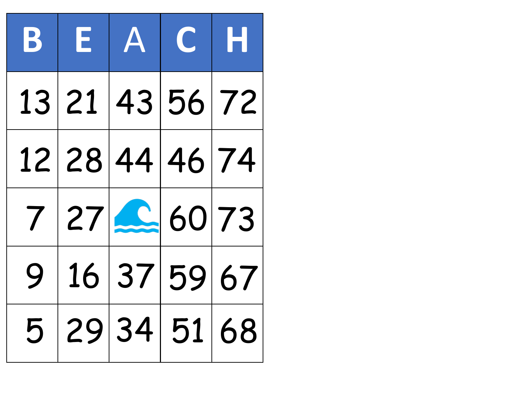|  | BEACH          |               |
|--|----------------|---------------|
|  | 13 21 43 56 72 |               |
|  | 12 28 44 46 74 |               |
|  | 7 27 260 73    |               |
|  | 9 16 37 59 67  |               |
|  |                | 5 29 34 51 68 |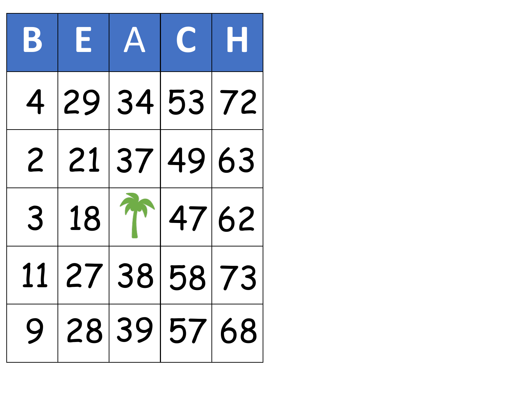| $\mathbf{B}$   | EACH          |                        |  |
|----------------|---------------|------------------------|--|
| $\overline{4}$ | 29 34 53 72   |                        |  |
|                | 2 21 37 49 63 |                        |  |
| 3              |               | $18 \frac{1}{1}$ 47 62 |  |
| 11             | 27 38 58 73   |                        |  |
| 9              | 28 39 57 68   |                        |  |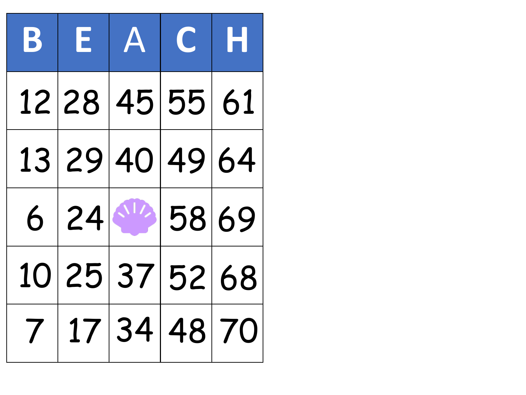| BEACH          |  |  |
|----------------|--|--|
| 12 28 45 55 61 |  |  |
| 13 29 40 49 64 |  |  |
| $6 24 $ 58 69  |  |  |
| 10 25 37 52 68 |  |  |
| 7 17 34 48 70  |  |  |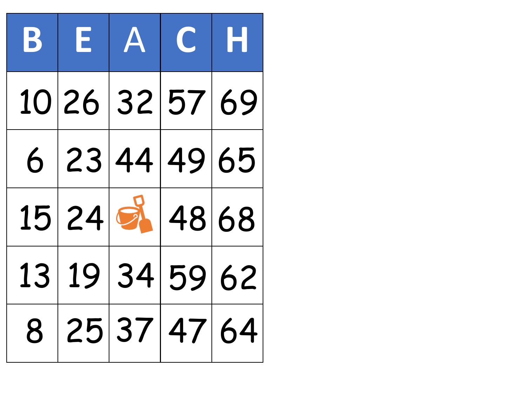| BEACH           |  |  |
|-----------------|--|--|
| 10 26 32 57 69  |  |  |
| 6 23 44 49 65   |  |  |
| $15 24$ 3 48 68 |  |  |
| 13 19 34 59 62  |  |  |
| 8 25 37 47 64   |  |  |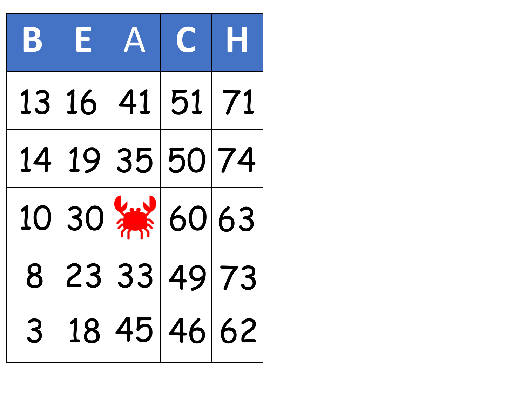|   | BEACH                           |  |
|---|---------------------------------|--|
|   | 13 16 41 51 71                  |  |
|   | 14 19 35 50 74                  |  |
|   | $10 30 $ $\frac{11}{10}  60 63$ |  |
|   | 8 23 33 49 73                   |  |
| 3 | 18 45 46 62                     |  |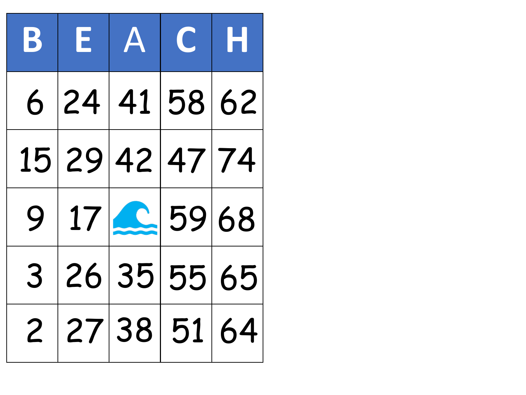|  | BEACH          |  |
|--|----------------|--|
|  | 6 24 41 58 62  |  |
|  | 15 29 42 47 74 |  |
|  | 9 17 25968     |  |
|  | 3 26 35 55 65  |  |
|  | 2 27 38 51 64  |  |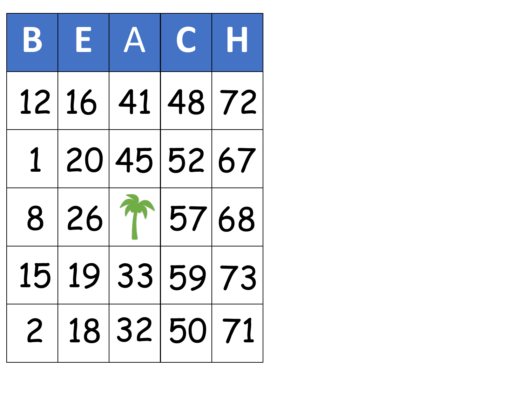|  | BEACH           |  |
|--|-----------------|--|
|  | 12 16 41 48 72  |  |
|  | 1 20 45 52 67   |  |
|  | $8 26 $ 1 57 68 |  |
|  | 15 19 33 59 73  |  |
|  | 2 18 32 50 71   |  |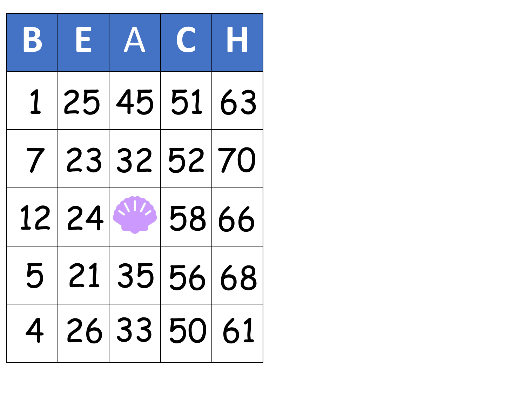| $\mathbf{B}$ | EACH          |  |  |
|--------------|---------------|--|--|
|              | 1 25 45 51 63 |  |  |
|              | 7 23 32 52 70 |  |  |
|              | 12 24 58 66   |  |  |
|              | 5 21 35 56 68 |  |  |
|              | 4 26 33 50 61 |  |  |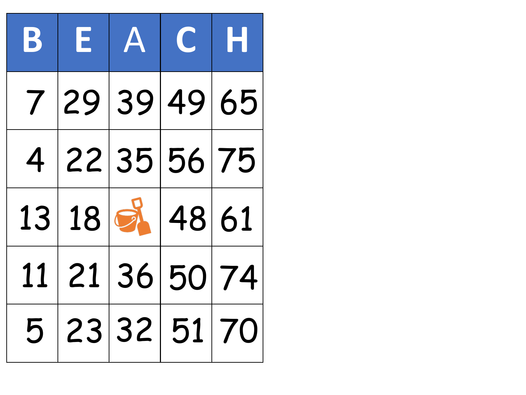| BEACH          |  |  |
|----------------|--|--|
| 7 29 39 49 65  |  |  |
| 4 22 35 56 75  |  |  |
| 13 18 3 48 61  |  |  |
| 11 21 36 50 74 |  |  |
| 5 23 32 51 70  |  |  |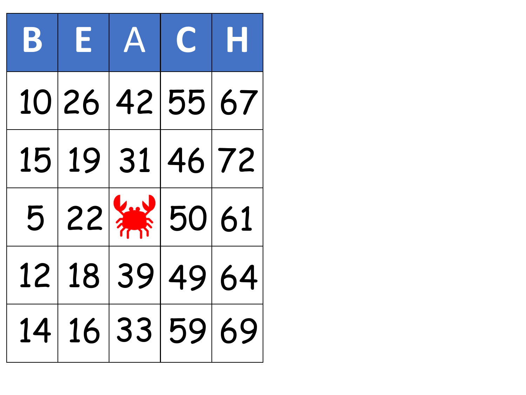|  | BEACH                        |  |
|--|------------------------------|--|
|  | 10 26 42 55 67               |  |
|  | 15 19 31 46 72               |  |
|  | $5 22 $ $\frac{1}{10}$ 50 61 |  |
|  | 12 18 39 49 64               |  |
|  | 14 16 33 59 69               |  |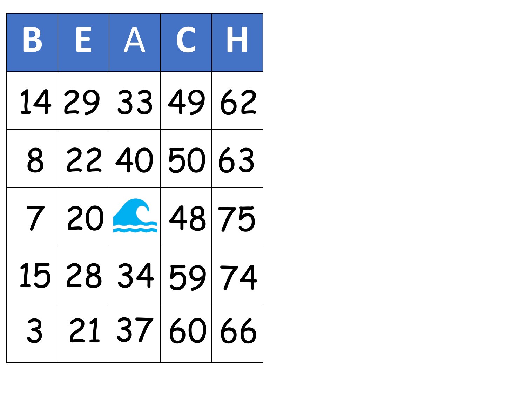|  | BEACH          |                       |
|--|----------------|-----------------------|
|  | 14 29 33 49 62 |                       |
|  | 8 22 40 50 63  |                       |
|  | $7 20 2 48 75$ |                       |
|  | 15 28 34 59 74 |                       |
|  |                | 3   21   37   60   66 |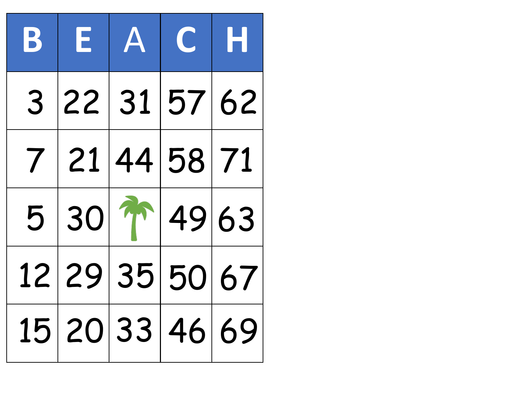| BEACH                    |  |  |
|--------------------------|--|--|
| 3 22 31 57 62            |  |  |
| 7 21 44 58 71            |  |  |
| $5 30 \sqrt[3]{1} 49 63$ |  |  |
| 12 29 35 50 67           |  |  |
| 15 20 33 46 69           |  |  |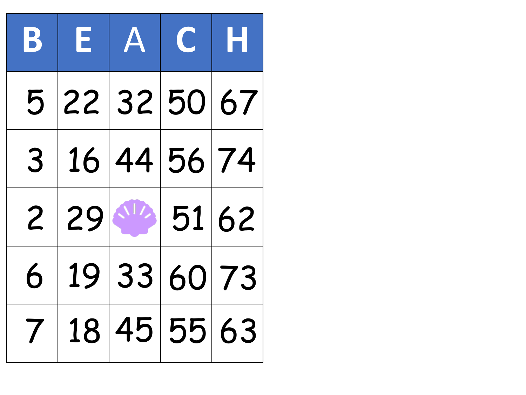| $ {\bf B} $    | $E$ $A$ $C$ $H$     |             |  |
|----------------|---------------------|-------------|--|
|                | 5 22 32 50 67       |             |  |
|                | 3 16 44 56 74       |             |  |
|                | $2 29 ^{1/2} 51 62$ |             |  |
| 6              |                     | 19 33 60 73 |  |
| $\overline{1}$ |                     | 18 45 55 63 |  |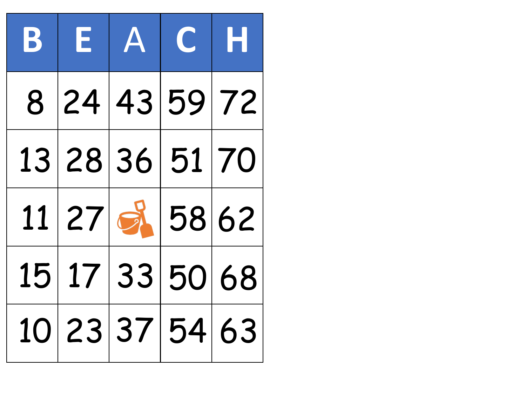|  | BEACH            |                |
|--|------------------|----------------|
|  |                  | 8 24 43 59 72  |
|  | 13 28 36 51 70   |                |
|  | $11 27 $ 8 58 62 |                |
|  |                  | 15 17 33 50 68 |
|  |                  | 10 23 37 54 63 |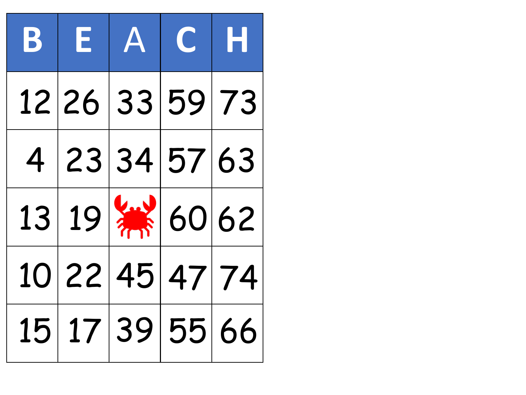|  | BEACH                          |  |
|--|--------------------------------|--|
|  | 12 26 33 59 73                 |  |
|  | 4 23 34 57 63                  |  |
|  | $13 19 $ $\frac{11}{11} 60 62$ |  |
|  | 10 22 45 47 74                 |  |
|  | 15 17 39 55 66                 |  |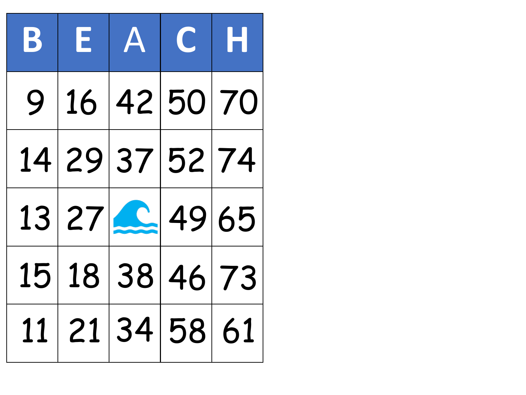| $ {\bf B} $ | $E$ $A$ $C$ $H$ |  |
|-------------|-----------------|--|
|             | 9 16 42 50 70   |  |
|             | 14 29 37 52 74  |  |
|             | 13 27 2 49 65   |  |
|             | 15 18 38 46 73  |  |
|             | 11 21 34 58 61  |  |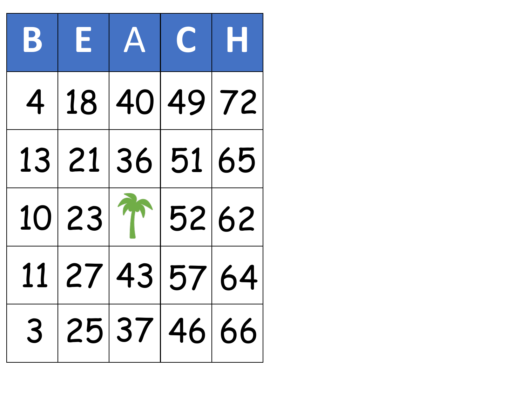| $\mathbf{B}$ | EACH           |  |  |
|--------------|----------------|--|--|
|              | 4 18 40 49 72  |  |  |
|              | 13 21 36 51 65 |  |  |
|              | 10 23 1 52 62  |  |  |
|              | 11 27 43 57 64 |  |  |
|              | 3 25 37 46 66  |  |  |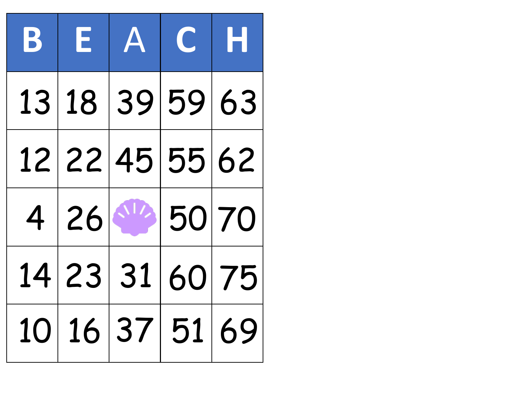|  | BEACH          |  |
|--|----------------|--|
|  | 13 18 39 59 63 |  |
|  | 12 22 45 55 62 |  |
|  | $4 26 $ 50 70  |  |
|  | 14 23 31 60 75 |  |
|  | 10 16 37 51 69 |  |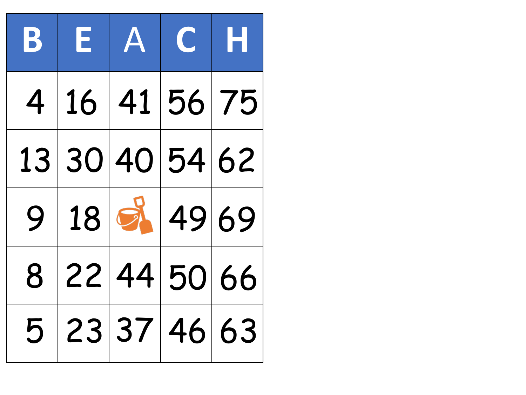| $\mathbf{B}$ | EACH              |  |  |
|--------------|-------------------|--|--|
|              | 4 16 41 56 75     |  |  |
|              | 13 30 40 54 62    |  |  |
|              | $9 18 $ $3 49 69$ |  |  |
| 8            | 22 44 50 66       |  |  |
|              | 5 23 37 46 63     |  |  |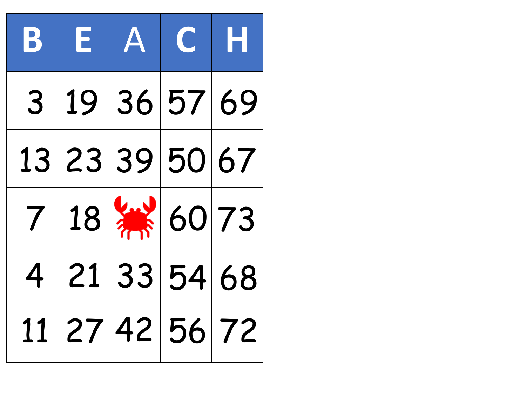| $\mathbf{B}$ | EACH                         |  |  |
|--------------|------------------------------|--|--|
|              | 3 19 36 57 69                |  |  |
|              | 13 23 39 50 67               |  |  |
|              | $7 18 $ $\frac{1}{10} 60 73$ |  |  |
|              | 4 21 33 54 68                |  |  |
|              | 11 27 42 56 72               |  |  |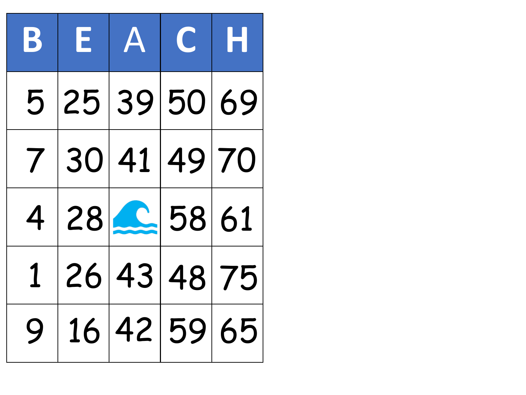| BEACH         |  |  |
|---------------|--|--|
| 5 25 39 50 69 |  |  |
| 7 30 41 49 70 |  |  |
| 4 28 2 58 61  |  |  |
| 1 26 43 48 75 |  |  |
| 9 16 42 59 65 |  |  |